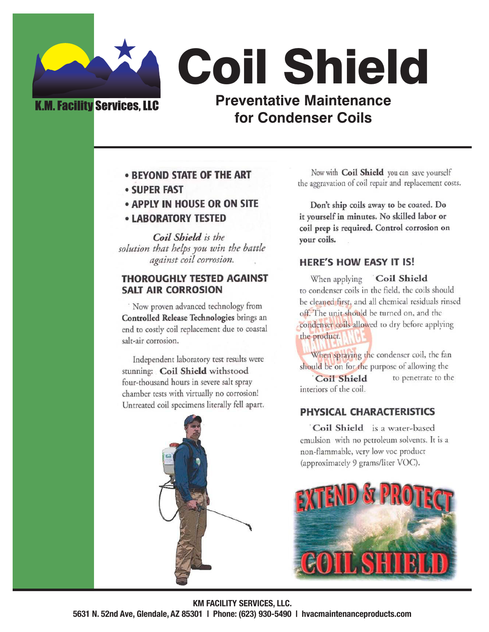## **K.M. Facility Services, LLC**

**Coil Shield Preventative Maintenance** for Condenser Coils

- **BEYOND STATE OF THE ART**
- **SUPER FAST**
- APPLY IN HOUSE OR ON SITE
- **LABORATORY TESTED**

Coil Shield is the solution that helps you win the battle against coil corrosion.

#### **THOROUGHLY TESTED AGAINST SALT AIR CORROSION**

Now proven advanced technology from Controlled Release Technologies brings an end to costly coil replacement due to coastal salt-air corrosion.

Independent laboratory test results were stunning: Coil Shield withstood four-thousand hours in severe salt spray chamber tests with virtually no corrosion! Untreated coil specimens literally fell apart.



Now with Coil Shield you can save yourself the aggravation of coil repair and replacement costs.

Don't ship coils away to be coated. Do it yourself in minutes. No skilled labor or coil prep is required. Control corrosion on your coils.

### **HERE'S HOW EASY IT IS!**

When applying **Coil Shield** to condenser coils in the field, the coils should be cleaned first, and all chemical residuals rinsed off. The unit should be turned on, and the condenser coils allowed to dry before applying the product.

When spraying the condenser coil, the fan should be on for the purpose of allowing the

to penetrate to the **Coil Shield** interiors of the coil.

### PHYSICAL CHARACTERISTICS

Coil Shield is a water-based emulsion with no petroleum solvents. It is a non-flammable, very low voc product (approximately 9 grams/liter VOC).



**KM FACILITY SERVICES, LLC.** 

5631 N. 52nd Ave, Glendale, AZ 85301 | Phone: (623) 930-5490 | hvacmaintenanceproducts.com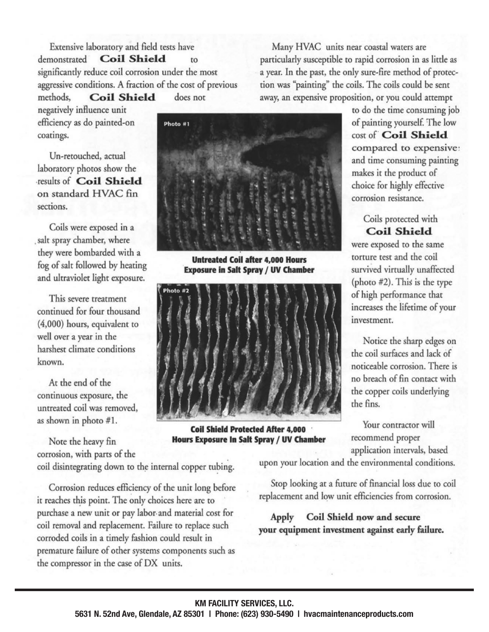Extensive laboratory and field tests have **Coil Shield** demonstrated to significantly reduce coil corrosion under the most aggressive conditions. A fraction of the cost of previous methods, **Coil Shield** does not negatively influence unit efficiency as do painted-on

Un-retouched, actual laboratory photos show the results of Coil Shield on standard HVAC fin sections.

coatings.

Coils were exposed in a salt spray chamber, where they were bombarded with a fog of salt followed by heating and ultraviolet light exposure.

This severe treatment continued for four thousand (4,000) hours, equivalent to well over a year in the harshest climate conditions known.

At the end of the continuous exposure, the untreated coil was removed, as shown in photo #1.

Note the heavy fin corrosion, with parts of the coil disintegrating down to the internal copper tubing.

Corrosion reduces efficiency of the unit long before it reaches this point. The only choices here are to purchase a new unit or pay labor and material cost for coil removal and replacement. Failure to replace such corroded coils in a timely fashion could result in premature failure of other systems components such as the compressor in the case of DX units.

Many HVAC units near coastal waters are particularly susceptible to rapid corrosion in as little as a year. In the past, the only sure-fire method of protection was "painting" the coils. The coils could be sent away, an expensive proposition, or you could attempt

to do the time consuming job of painting yourself. The low cost of Coil Shield compared to expensive: and time consuming painting makes it the product of choice for highly effective corrosion resistance.

Coils protected with **Coil Shield** were exposed to the same torture test and the coil survived virtually unaffected (photo #2). This is the type of high performance that increases the lifetime of your investment.

Notice the sharp edges on the coil surfaces and lack of noticeable corrosion. There is no breach of fin contact with the copper coils underlying the fins.

Your contractor will recommend proper application intervals, based

upon your location and the environmental conditions.

Stop looking at a future of financial loss due to coil replacement and low unit efficiencies from corrosion.

Coil Shield now and secure Apply your equipment investment against early failure.

**Coil Shield Protected After 4,000 Hours Exposure In Salt Spray / UV Chamber** 



**Untreated Coil after 4,000 Hours** 

**Exposure in Salt Spray / UV Chamber** 

Photo #2